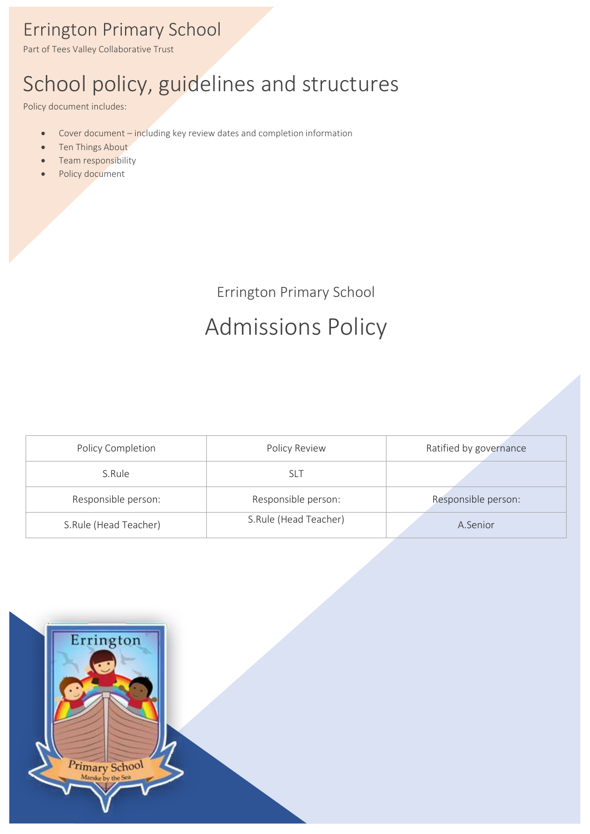## Errington Primary School

Part of Tees Valley Collaborative Trust

# School policy, guidelines and structures

Policy document includes:

- Cover document including key review dates and completion information
- Ten Things About
- Team responsibility
- Policy document

Errington Primary School

# Admissions Policy

| Policy Completion     | Policy Review         | Ratified by governance |
|-----------------------|-----------------------|------------------------|
| S.Rule                | slt                   |                        |
| Responsible person:   | Responsible person:   | Responsible person:    |
| S.Rule (Head Teacher) | S.Rule (Head Teacher) | A.Senior               |

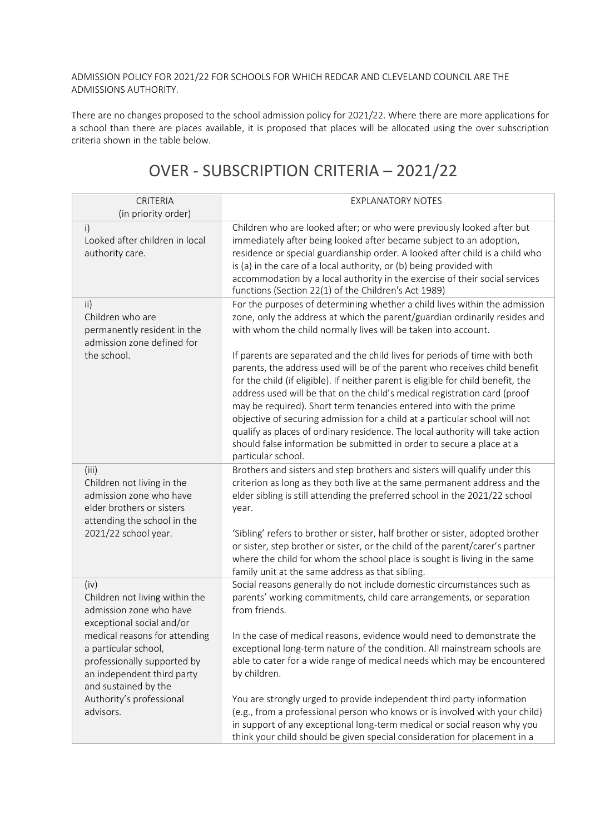#### ADMISSION POLICY FOR 2021/22 FOR SCHOOLS FOR WHICH REDCAR AND CLEVELAND COUNCIL ARE THE ADMISSIONS AUTHORITY.

There are no changes proposed to the school admission policy for 2021/22. Where there are more applications for a school than there are places available, it is proposed that places will be allocated using the over subscription criteria shown in the table below.

| CRITERIA<br>(in priority order)                                                                                                                    | <b>EXPLANATORY NOTES</b>                                                                                                                                                                                                                                                                                                                                                                                                                                                                                                                                                                                                                                                                                                                                                                                                                                                                      |
|----------------------------------------------------------------------------------------------------------------------------------------------------|-----------------------------------------------------------------------------------------------------------------------------------------------------------------------------------------------------------------------------------------------------------------------------------------------------------------------------------------------------------------------------------------------------------------------------------------------------------------------------------------------------------------------------------------------------------------------------------------------------------------------------------------------------------------------------------------------------------------------------------------------------------------------------------------------------------------------------------------------------------------------------------------------|
| i)<br>Looked after children in local<br>authority care.                                                                                            | Children who are looked after; or who were previously looked after but<br>immediately after being looked after became subject to an adoption,<br>residence or special guardianship order. A looked after child is a child who<br>is (a) in the care of a local authority, or (b) being provided with<br>accommodation by a local authority in the exercise of their social services<br>functions (Section 22(1) of the Children's Act 1989)                                                                                                                                                                                                                                                                                                                                                                                                                                                   |
| ii)<br>Children who are<br>permanently resident in the<br>admission zone defined for<br>the school.                                                | For the purposes of determining whether a child lives within the admission<br>zone, only the address at which the parent/guardian ordinarily resides and<br>with whom the child normally lives will be taken into account.<br>If parents are separated and the child lives for periods of time with both<br>parents, the address used will be of the parent who receives child benefit<br>for the child (if eligible). If neither parent is eligible for child benefit, the<br>address used will be that on the child's medical registration card (proof<br>may be required). Short term tenancies entered into with the prime<br>objective of securing admission for a child at a particular school will not<br>qualify as places of ordinary residence. The local authority will take action<br>should false information be submitted in order to secure a place at a<br>particular school. |
| (iii)<br>Children not living in the<br>admission zone who have<br>elder brothers or sisters<br>attending the school in the<br>2021/22 school year. | Brothers and sisters and step brothers and sisters will qualify under this<br>criterion as long as they both live at the same permanent address and the<br>elder sibling is still attending the preferred school in the 2021/22 school<br>year.<br>'Sibling' refers to brother or sister, half brother or sister, adopted brother<br>or sister, step brother or sister, or the child of the parent/carer's partner                                                                                                                                                                                                                                                                                                                                                                                                                                                                            |
|                                                                                                                                                    | where the child for whom the school place is sought is living in the same<br>family unit at the same address as that sibling.                                                                                                                                                                                                                                                                                                                                                                                                                                                                                                                                                                                                                                                                                                                                                                 |
| (iv)<br>Children not living within the<br>admission zone who have<br>exceptional social and/or                                                     | Social reasons generally do not include domestic circumstances such as<br>parents' working commitments, child care arrangements, or separation<br>from friends.                                                                                                                                                                                                                                                                                                                                                                                                                                                                                                                                                                                                                                                                                                                               |
| medical reasons for attending<br>a particular school,<br>professionally supported by<br>an independent third party<br>and sustained by the         | In the case of medical reasons, evidence would need to demonstrate the<br>exceptional long-term nature of the condition. All mainstream schools are<br>able to cater for a wide range of medical needs which may be encountered<br>by children.                                                                                                                                                                                                                                                                                                                                                                                                                                                                                                                                                                                                                                               |
| Authority's professional<br>advisors.                                                                                                              | You are strongly urged to provide independent third party information<br>(e.g., from a professional person who knows or is involved with your child)<br>in support of any exceptional long-term medical or social reason why you<br>think your child should be given special consideration for placement in a                                                                                                                                                                                                                                                                                                                                                                                                                                                                                                                                                                                 |

### OVER - SUBSCRIPTION CRITERIA – 2021/22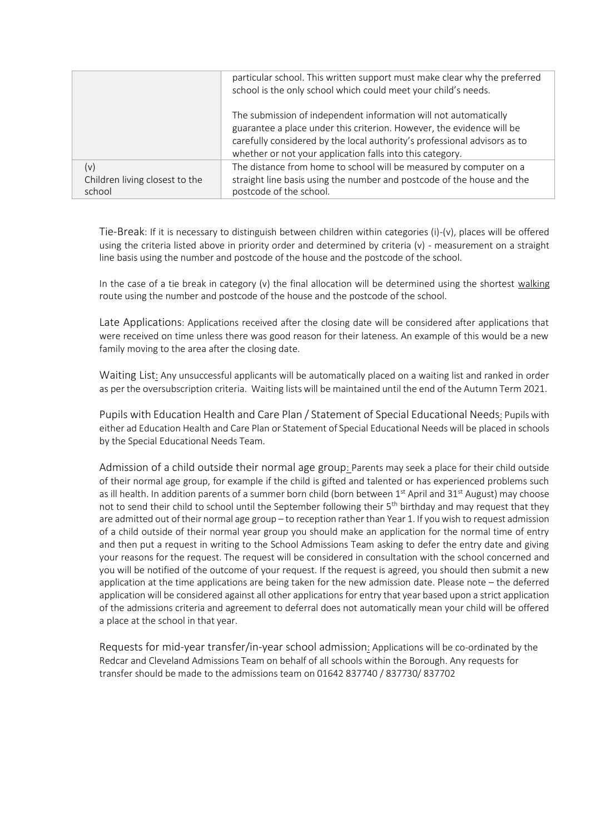|                                          | particular school. This written support must make clear why the preferred<br>school is the only school which could meet your child's needs. |
|------------------------------------------|---------------------------------------------------------------------------------------------------------------------------------------------|
|                                          |                                                                                                                                             |
|                                          | The submission of independent information will not automatically                                                                            |
|                                          | guarantee a place under this criterion. However, the evidence will be                                                                       |
|                                          | carefully considered by the local authority's professional advisors as to                                                                   |
|                                          | whether or not your application falls into this category.                                                                                   |
| (v)                                      | The distance from home to school will be measured by computer on a                                                                          |
| Children living closest to the<br>school | straight line basis using the number and postcode of the house and the<br>postcode of the school.                                           |

Tie-Break: If it is necessary to distinguish between children within categories (i)-(v), places will be offered using the criteria listed above in priority order and determined by criteria (v) - measurement on a straight line basis using the number and postcode of the house and the postcode of the school.

In the case of a tie break in category (v) the final allocation will be determined using the shortest walking route using the number and postcode of the house and the postcode of the school.

Late Applications: Applications received after the closing date will be considered after applications that were received on time unless there was good reason for their lateness. An example of this would be a new family moving to the area after the closing date.

Waiting List: Any unsuccessful applicants will be automatically placed on a waiting list and ranked in order as per the oversubscription criteria. Waiting listswill be maintained until the end of the Autumn Term 2021.

Pupils with Education Health and Care Plan / Statement of Special Educational Needs: Pupils with either ad Education Health and Care Plan or Statement of Special Educational Needs will be placed in schools by the Special Educational Needs Team.

Admission of a child outside their normal age group: Parents may seek a place for their child outside of their normal age group, for example if the child is gifted and talented or has experienced problems such as ill health. In addition parents of a summer born child (born between 1<sup>st</sup> April and 31<sup>st</sup> August) may choose not to send their child to school until the September following their 5<sup>th</sup> birthday and may request that they are admitted out of their normal age group – to reception ratherthan Year 1. If youwish to request admission of a child outside of their normal year group you should make an application for the normal time of entry and then put a request in writing to the School Admissions Team asking to defer the entry date and giving your reasons for the request. The request will be considered in consultation with the school concerned and you will be notified of the outcome of your request. If the request is agreed, you should then submit a new application at the time applications are being taken for the new admission date. Please note – the deferred application will be considered against all other applications for entry that year based upon a strict application of the admissions criteria and agreement to deferral does not automatically mean your child will be offered a place at the school in that year.

Requests for mid-year transfer/in-year school admission: Applications will be co-ordinated by the Redcar and Cleveland Admissions Team on behalf of all schools within the Borough. Any requests for transfer should be made to the admissions team on 01642 837740 / 837730/ 837702